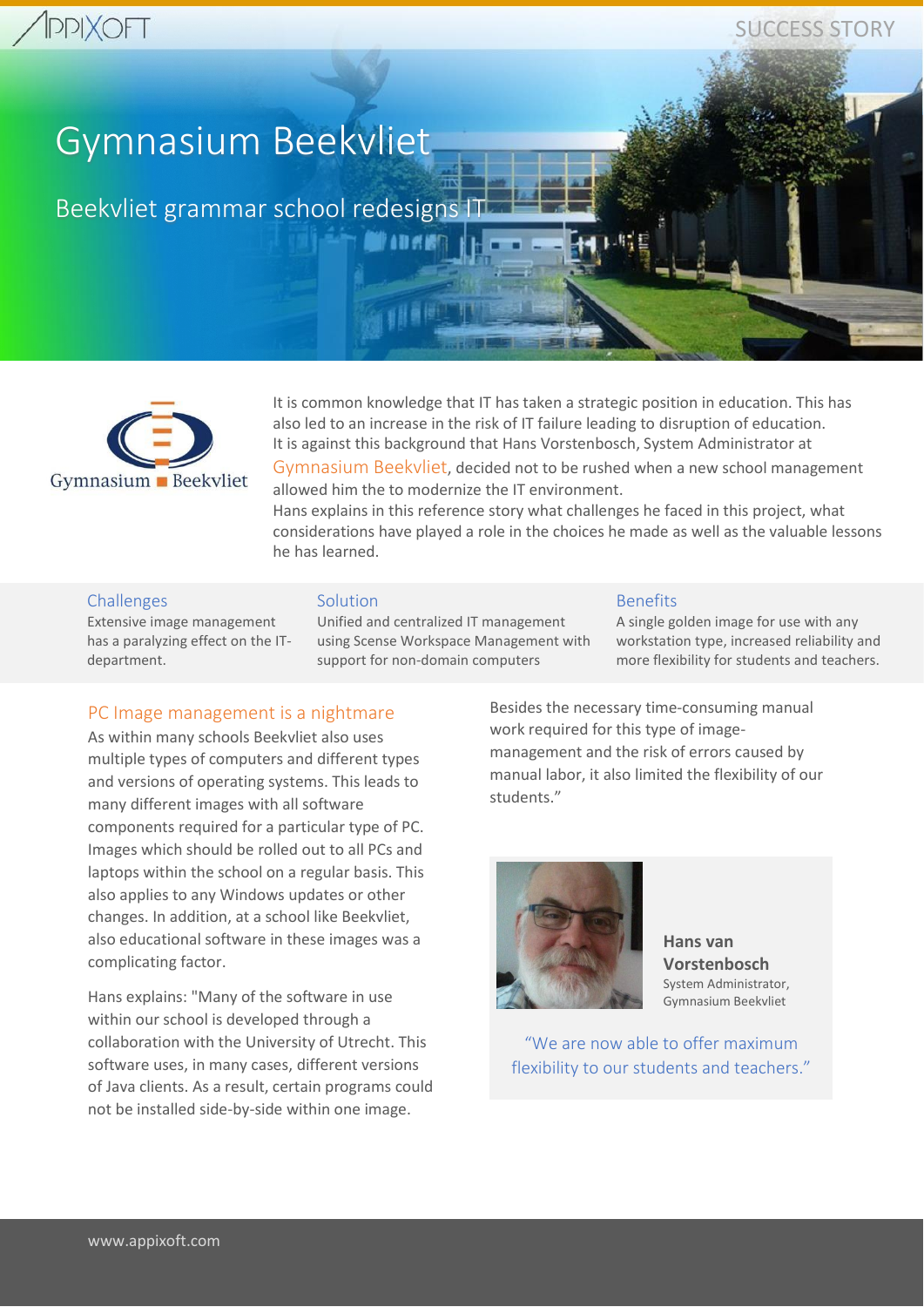# **PPIXOFT**

SUCCESS STORY

# Gymnasium Beekvliet

Beekvliet grammar school redesigns IT



It is common knowledge that IT has taken a strategic position in education. This has also led to an increase in the risk of IT failure leading to disruption of education. It is against this background that Hans Vorstenbosch, System Administrator at

Gymnasium Beekvliet, decided not to be rushed when a new school management allowed him the to modernize the IT environment.

Hans explains in this reference story what challenges he faced in this project, what considerations have played a role in the choices he made as well as the valuable lessons he has learned.

#### Challenges

Extensive image management has a paralyzing effect on the ITdepartment.

#### Solution

Unified and centralized IT management using Scense Workspace Management with support for non-domain computers

*Finder* 

#### Benefits

A single golden image for use with any workstation type, increased reliability and more flexibility for students and teachers.

# PC Image management is a nightmare

As within many schools Beekvliet also uses multiple types of computers and different types and versions of operating systems. This leads to many different images with all software components required for a particular type of PC. Images which should be rolled out to all PCs and laptops within the school on a regular basis. This also applies to any Windows updates or other changes. In addition, at a school like Beekvliet, also educational software in these images was a complicating factor.

Hans explains: "Many of the software in use within our school is developed through a collaboration with the University of Utrecht. This software uses, in many cases, different versions of Java clients. As a result, certain programs could not be installed side-by-side within one image.

Besides the necessary time-consuming manual work required for this type of imagemanagement and the risk of errors caused by manual labor, it also limited the flexibility of our students."



**Hans van Vorstenbosch** System Administrator, Gymnasium Beekvliet

"We are now able to offer maximum flexibility to our students and teachers."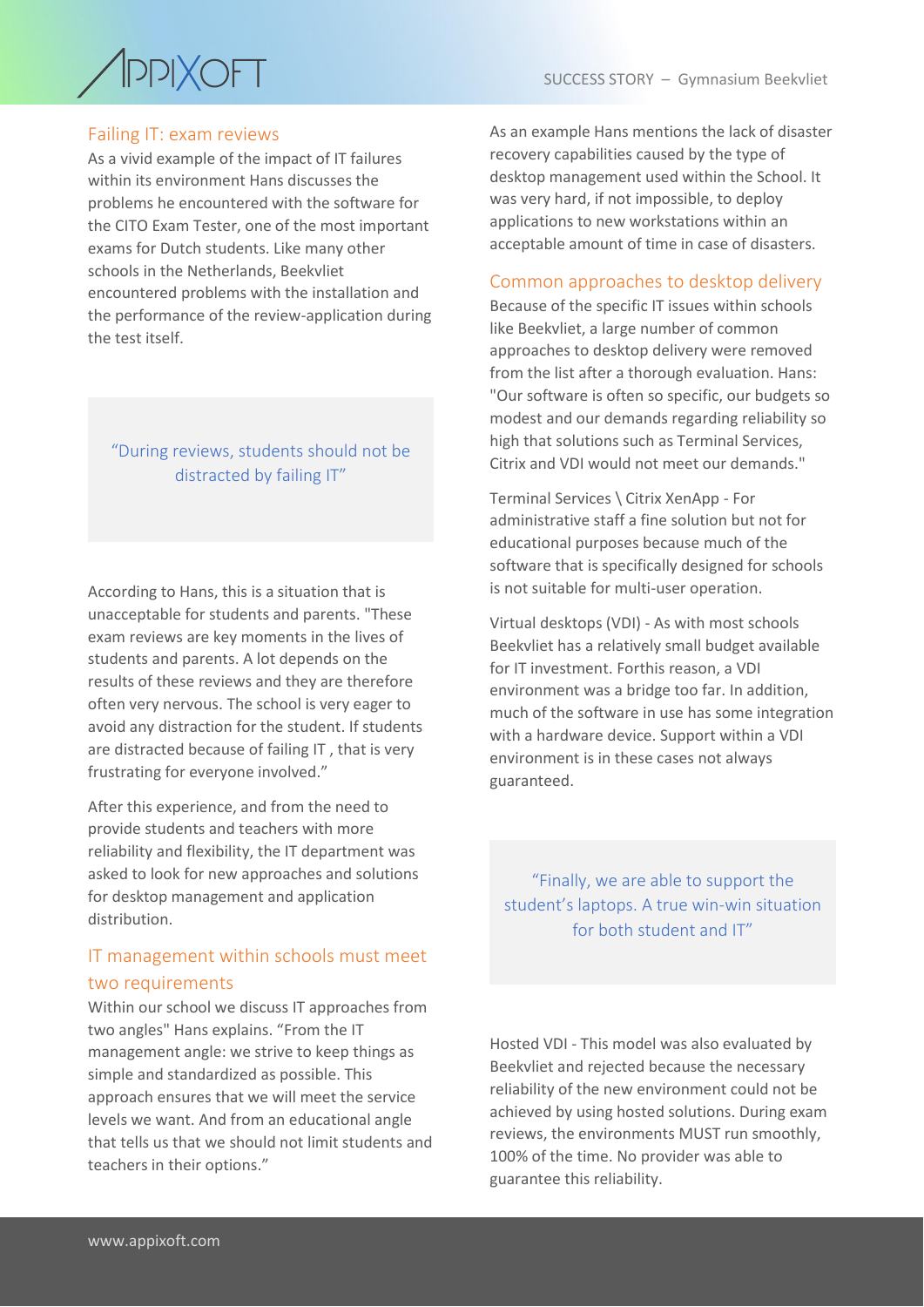

### Failing IT: exam reviews

As a vivid example of the impact of IT failures within its environment Hans discusses the problems he encountered with the software for the CITO Exam Tester, one of the most important exams for Dutch students. Like many other schools in the Netherlands, Beekvliet encountered problems with the installation and the performance of the review-application during the test itself.

"During reviews, students should not be distracted by failing IT"

According to Hans, this is a situation that is unacceptable for students and parents. "These exam reviews are key moments in the lives of students and parents. A lot depends on the results of these reviews and they are therefore often very nervous. The school is very eager to avoid any distraction for the student. If students are distracted because of failing IT , that is very frustrating for everyone involved."

After this experience, and from the need to provide students and teachers with more reliability and flexibility, the IT department was asked to look for new approaches and solutions for desktop management and application distribution.

# IT management within schools must meet two requirements

Within our school we discuss IT approaches from two angles" Hans explains. "From the IT management angle: we strive to keep things as simple and standardized as possible. This approach ensures that we will meet the service levels we want. And from an educational angle that tells us that we should not limit students and teachers in their options."

As an example Hans mentions the lack of disaster recovery capabilities caused by the type of desktop management used within the School. It was very hard, if not impossible, to deploy applications to new workstations within an acceptable amount of time in case of disasters.

#### Common approaches to desktop delivery

Because of the specific IT issues within schools like Beekvliet, a large number of common approaches to desktop delivery were removed from the list after a thorough evaluation. Hans: "Our software is often so specific, our budgets so modest and our demands regarding reliability so high that solutions such as Terminal Services, Citrix and VDI would not meet our demands."

Terminal Services \ Citrix XenApp - For administrative staff a fine solution but not for educational purposes because much of the software that is specifically designed for schools is not suitable for multi-user operation.

Virtual desktops (VDI) - As with most schools Beekvliet has a relatively small budget available for IT investment. Forthis reason, a VDI environment was a bridge too far. In addition, much of the software in use has some integration with a hardware device. Support within a VDI environment is in these cases not always guaranteed.

"Finally, we are able to support the student's laptops. A true win-win situation for both student and IT"

Hosted VDI - This model was also evaluated by Beekvliet and rejected because the necessary reliability of the new environment could not be achieved by using hosted solutions. During exam reviews, the environments MUST run smoothly, 100% of the time. No provider was able to guarantee this reliability.